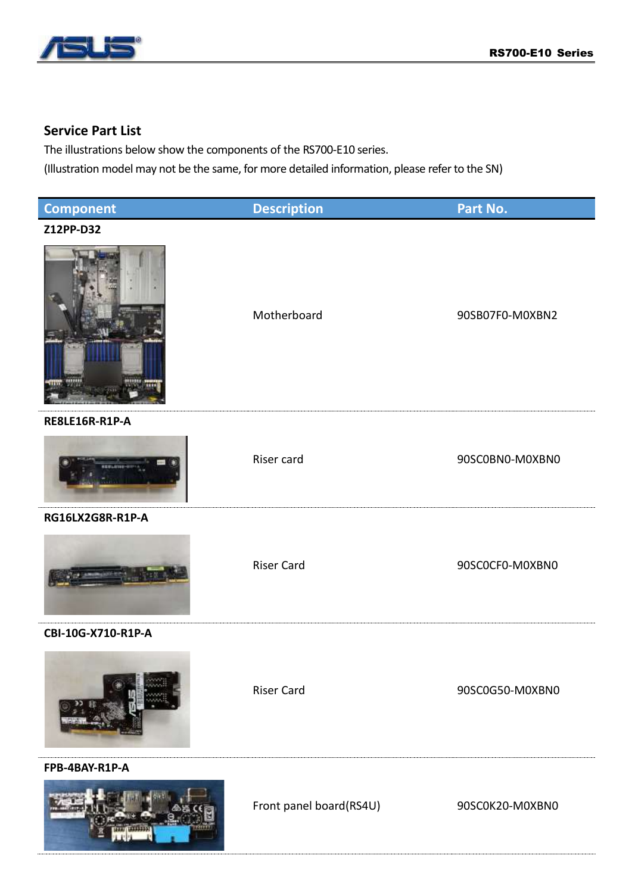

## **Service Part List**

The illustrations below show the components of the RS700-E10 series.

(Illustration model may not be the same, for more detailed information, please refer to the SN)

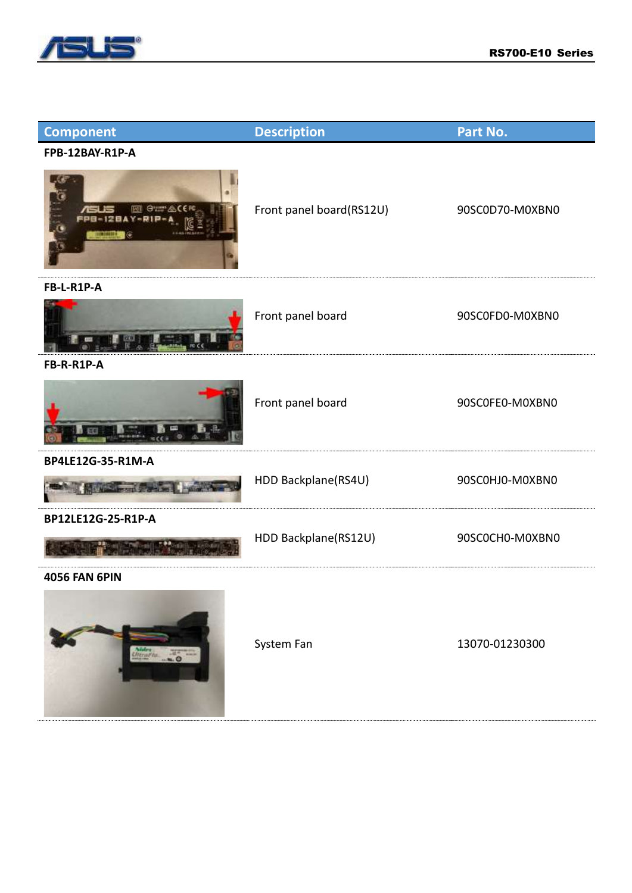

| <b>Component</b>                  | <b>Description</b>       | Part No.        |
|-----------------------------------|--------------------------|-----------------|
| FPB-12BAY-R1P-A                   |                          |                 |
| <b>Gum ACE</b><br>污<br>ė<br>20003 | Front panel board(RS12U) | 90SC0D70-M0XBN0 |
| FB-L-R1P-A                        |                          |                 |
|                                   | Front panel board        | 90SC0FD0-M0XBN0 |
| FB-R-R1P-A                        |                          |                 |
|                                   | Front panel board        | 90SC0FE0-M0XBN0 |
| BP4LE12G-35-R1M-A                 |                          |                 |
| <b>STATISTICS CONTRACTOR</b>      | HDD Backplane(RS4U)      | 90SC0HJ0-M0XBN0 |
| BP12LE12G-25-R1P-A                |                          |                 |
|                                   | HDD Backplane(RS12U)     | 90SC0CH0-M0XBN0 |
| <b>4056 FAN 6PIN</b>              |                          |                 |
| Meralta  O                        | System Fan               | 13070-01230300  |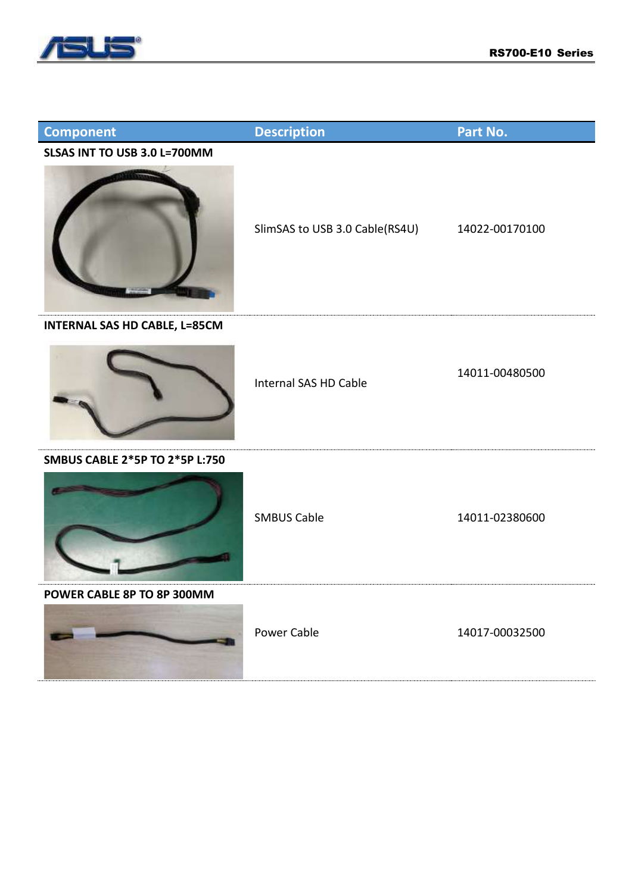

| <b>Component</b>                     | <b>Description</b>             | Part No.       |
|--------------------------------------|--------------------------------|----------------|
| SLSAS INT TO USB 3.0 L=700MM         | SlimSAS to USB 3.0 Cable(RS4U) | 14022-00170100 |
| <b>INTERNAL SAS HD CABLE, L=85CM</b> | Internal SAS HD Cable          | 14011-00480500 |
| SMBUS CABLE 2*5P TO 2*5P L:750       | <b>SMBUS Cable</b>             | 14011-02380600 |
| POWER CABLE 8P TO 8P 300MM           | Power Cable                    | 14017-00032500 |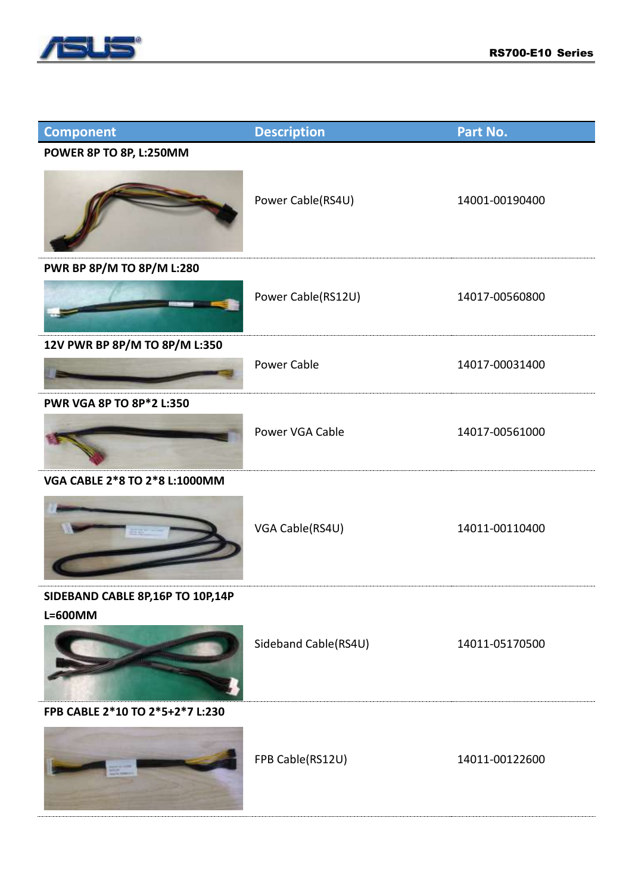

| <b>Component</b>                            | <b>Description</b>   | Part No.       |
|---------------------------------------------|----------------------|----------------|
| POWER 8P TO 8P, L:250MM                     | Power Cable(RS4U)    | 14001-00190400 |
| PWR BP 8P/M TO 8P/M L:280                   | Power Cable(RS12U)   | 14017-00560800 |
| 12V PWR BP 8P/M TO 8P/M L:350               | <b>Power Cable</b>   | 14017-00031400 |
| PWR VGA 8P TO 8P*2 L:350                    | Power VGA Cable      | 14017-00561000 |
| VGA CABLE 2*8 TO 2*8 L:1000MM               | VGA Cable(RS4U)      | 14011-00110400 |
| SIDEBAND CABLE 8P,16P TO 10P,14P<br>L=600MM | Sideband Cable(RS4U) | 14011-05170500 |
| FPB CABLE 2*10 TO 2*5+2*7 L:230             | FPB Cable(RS12U)     | 14011-00122600 |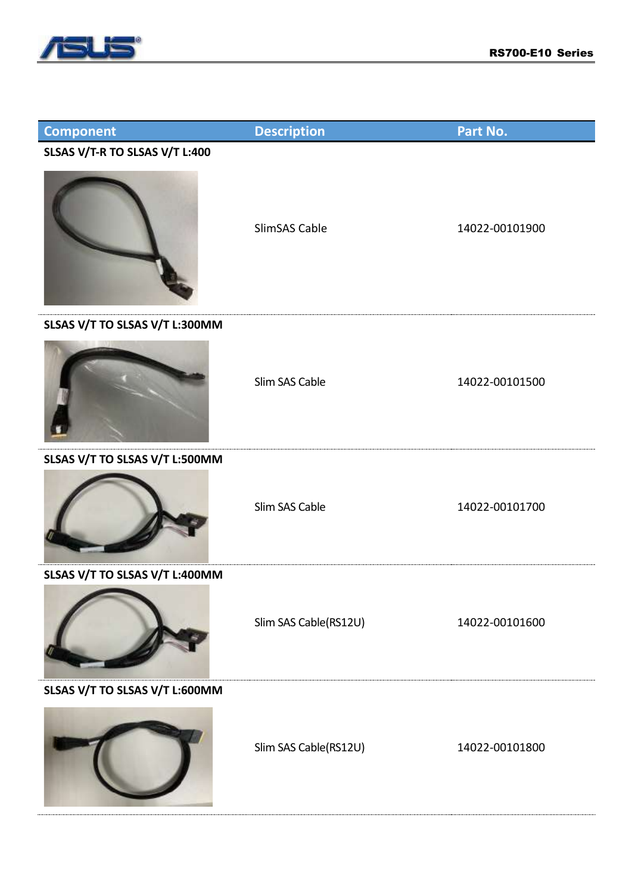

| <b>Component</b>               | <b>Description</b>    | Part No.       |
|--------------------------------|-----------------------|----------------|
| SLSAS V/T-R TO SLSAS V/T L:400 |                       |                |
|                                | SlimSAS Cable         | 14022-00101900 |
| SLSAS V/T TO SLSAS V/T L:300MM |                       |                |
|                                | Slim SAS Cable        | 14022-00101500 |
| SLSAS V/T TO SLSAS V/T L:500MM |                       |                |
|                                | Slim SAS Cable        | 14022-00101700 |
| SLSAS V/T TO SLSAS V/T L:400MM |                       |                |
|                                | Slim SAS Cable(RS12U) | 14022-00101600 |
| SLSAS V/T TO SLSAS V/T L:600MM |                       |                |
|                                | Slim SAS Cable(RS12U) | 14022-00101800 |